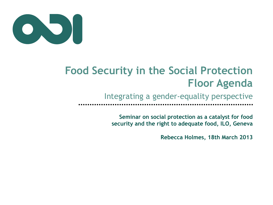

## **Food Security in the Social Protection Floor Agenda**

Integrating a gender-equality perspective

**Seminar on social protection as a catalyst for food security and the right to adequate food, ILO, Geneva** 

**Rebecca Holmes, 18th March 2013**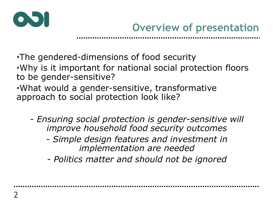

•The gendered-dimensions of food security •Why is it important for national social protection floors

to be gender-sensitive?

•What would a gender-sensitive, transformative approach to social protection look like?

- *Ensuring social protection is gender-sensitive will improve household food security outcomes* 
	- *Simple design features and investment in implementation are needed*

*- Politics matter and should not be ignored*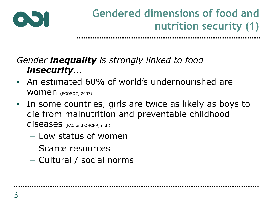

## **Gendered dimensions of food and nutrition security (1)**

### *Gender inequality is strongly linked to food insecurity...*

- An estimated 60% of world's undernourished are WOMEN (ECOSOC, 2007)
- In some countries, girls are twice as likely as boys to die from malnutrition and preventable childhood diseases (FAO and OHCHR, n.d.)
	- Low status of women
	- Scarce resources
	- Cultural / social norms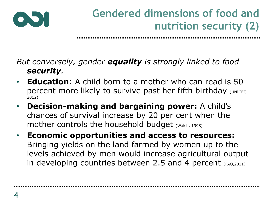

## **Gendered dimensions of food and nutrition security (2)**

#### *But conversely, gender equality is strongly linked to food security.*

- **Education**: A child born to a mother who can read is 50 percent more likely to survive past her fifth birthday (UNICEF, 2012)
- **Decision-making and bargaining power:** A child's chances of survival increase by 20 per cent when the mother controls the household budget (Walsh, 1998)
- **Economic opportunities and access to resources:**  Bringing yields on the land farmed by women up to the levels achieved by men would increase agricultural output in developing countries between 2.5 and 4 percent  $(FAO, 2011)$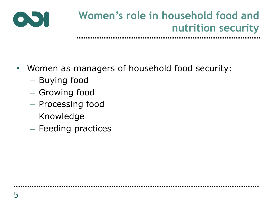

## **Women's role in household food and nutrition security**

- Women as managers of household food security:
	- Buying food
	- Growing food
	- Processing food
	- Knowledge
	- Feeding practices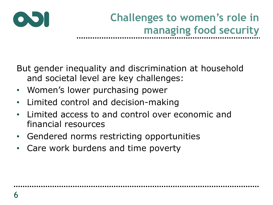

# **Challenges to women's role in managing food security**

But gender inequality and discrimination at household and societal level are key challenges:

- Women's lower purchasing power
- Limited control and decision-making
- Limited access to and control over economic and financial resources
- Gendered norms restricting opportunities
- Care work burdens and time poverty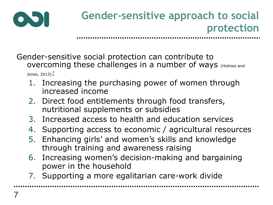

Gender-sensitive social protection can contribute to overcoming these challenges in a number of ways (Holmes and Jones,  $2013$ ;

- 1. Increasing the purchasing power of women through increased income
- 2. Direct food entitlements through food transfers, nutritional supplements or subsidies
- 3. Increased access to health and education services
- 4. Supporting access to economic / agricultural resources
- 5. Enhancing girls' and women's skills and knowledge through training and awareness raising
- 6. Increasing women's decision-making and bargaining power in the household
- 7. Supporting a more egalitarian care-work divide

....................................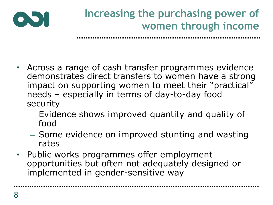

## **Increasing the purchasing power of women through income**

- Across a range of cash transfer programmes evidence demonstrates direct transfers to women have a strong impact on supporting women to meet their "practical" needs – especially in terms of day-to-day food security
	- Evidence shows improved quantity and quality of food
	- Some evidence on improved stunting and wasting rates
- Public works programmes offer employment opportunities but often not adequately designed or implemented in gender-sensitive way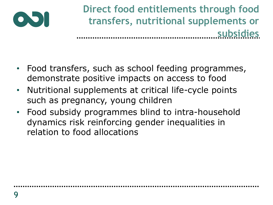

**Direct food entitlements through food transfers, nutritional supplements or subsidies**

- Food transfers, such as school feeding programmes, demonstrate positive impacts on access to food
- Nutritional supplements at critical life-cycle points such as pregnancy, young children
- Food subsidy programmes blind to intra-household dynamics risk reinforcing gender inequalities in relation to food allocations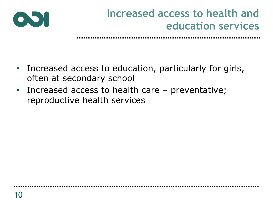

## **Increased access to health and education services**

- Increased access to education, particularly for girls, often at secondary school
- Increased access to health care preventative; reproductive health services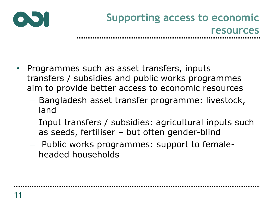

- Programmes such as asset transfers, inputs transfers / subsidies and public works programmes aim to provide better access to economic resources
	- Bangladesh asset transfer programme: livestock, land
	- Input transfers / subsidies: agricultural inputs such as seeds, fertiliser – but often gender-blind
	- Public works programmes: support to femaleheaded households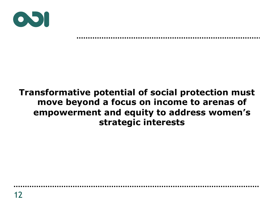

### **Transformative potential of social protection must move beyond a focus on income to arenas of empowerment and equity to address women's strategic interests**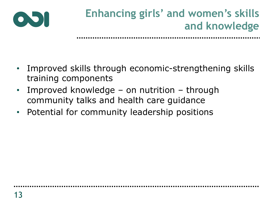

## **Enhancing girls' and women's skills and knowledge**

- Improved skills through economic-strengthening skills training components
- Improved knowledge on nutrition through community talks and health care guidance
- Potential for community leadership positions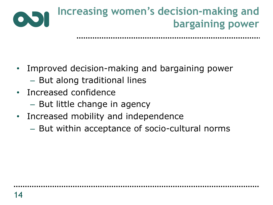

- Improved decision-making and bargaining power
	- But along traditional lines
- Increased confidence
	- But little change in agency
- Increased mobility and independence
	- But within acceptance of socio-cultural norms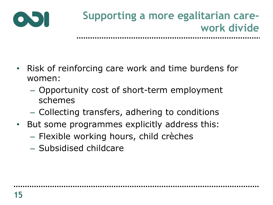

- Risk of reinforcing care work and time burdens for women:
	- Opportunity cost of short-term employment schemes
	- Collecting transfers, adhering to conditions
- But some programmes explicitly address this:
	- Flexible working hours, child crèches
	- Subsidised childcare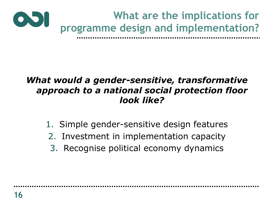

### *What would a gender-sensitive, transformative approach to a national social protection floor look like?*

- 1. Simple gender-sensitive design features
- 2. Investment in implementation capacity
- 3. Recognise political economy dynamics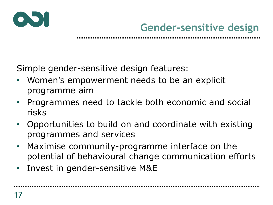

Simple gender-sensitive design features:

- Women's empowerment needs to be an explicit programme aim
- Programmes need to tackle both economic and social risks
- Opportunities to build on and coordinate with existing programmes and services
- Maximise community-programme interface on the potential of behavioural change communication efforts
- Invest in gender-sensitive M&E

......................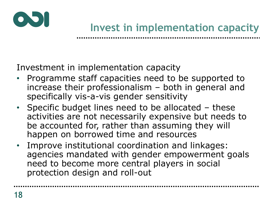

Investment in implementation capacity

- Programme staff capacities need to be supported to increase their professionalism – both in general and specifically vis-a-vis gender sensitivity
- Specific budget lines need to be allocated these activities are not necessarily expensive but needs to be accounted for, rather than assuming they will happen on borrowed time and resources
- Improve institutional coordination and linkages: agencies mandated with gender empowerment goals need to become more central players in social protection design and roll-out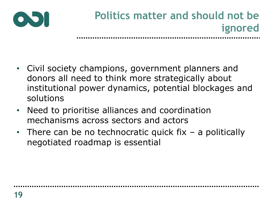

- Civil society champions, government planners and donors all need to think more strategically about institutional power dynamics, potential blockages and solutions
- Need to prioritise alliances and coordination mechanisms across sectors and actors
- There can be no technocratic quick fix a politically negotiated roadmap is essential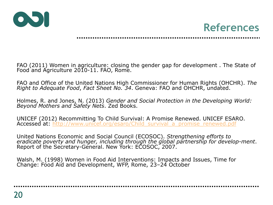



FAO (2011) Women in agriculture: closing the gender gap for development . The State of Food and Agriculture 2010-11. FAO, Rome.

FAO and Office of the United Nations High Commissioner for Human Rights (OHCHR). *The Right to Adequate Food*, *Fact Sheet No. 34*. Geneva: FAO and OHCHR, undated.

Holmes, R. and Jones, N. (2013) *Gender and Social Protection in the Developing World: Beyond Mothers and Safety Nets*. Zed Books.

UNICEF (2012) Recommitting To Child Survival: A Promise Renewed. UNICEF ESARO. Accessed at: http://www.unicef.org/esaro/Child\_survival\_a\_promise\_renewed.pdf

United Nations Economic and Social Council (ECOSOC). *Strengthening efforts to eradicate poverty and hunger, including through the global partnership for develop-ment*. Report of the Secretary-General. New York: ECOSOC, 2007.

Walsh, M. (1998) Women in Food Aid Interventions: Impacts and Issues, Time for Change: Food Aid and Development, WFP, Rome, 23-24 October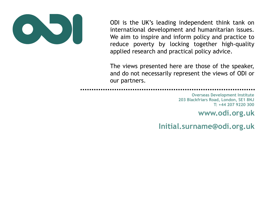

ODI is the UK's leading independent think tank on international development and humanitarian issues. We aim to inspire and inform policy and practice to reduce poverty by locking together high-quality applied research and practical policy advice.

The views presented here are those of the speaker, and do not necessarily represent the views of ODI or our partners.

**Overseas Development Institute 203 Blackfriars Road, London, SE1 8NJ T: +44 207 9220 300** 

**www.odi.org.uk** 

**Initial.surname@odi.org.uk**